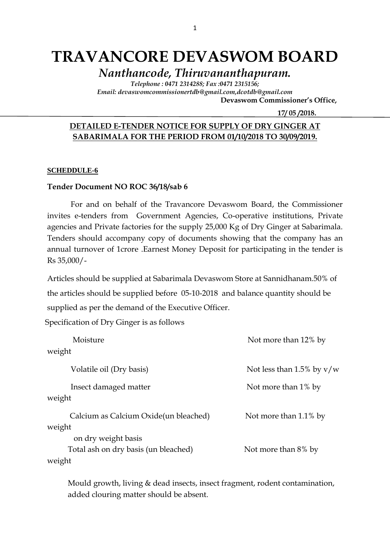# **TRAVANCORE DEVASWOM BOARD**

*Nanthancode, Thiruvananthapuram.*

*Telephone : 0471 2314288; Fax :0471 2315156; Email: devaswomcommissionertdb@gmail.com,dcotdb@gmail.com*

 **Devaswom Commissioner's Office,**

 **17/ 05 /2018.**

### **DETAILED E-TENDER NOTICE FOR SUPPLY OF DRY GINGER AT SABARIMALA FOR THE PERIOD FROM 01/10/2018 TO 30/09/2019.**

#### **SCHEDDULE-6**

#### **Tender Document NO ROC 36/18/sab 6**

For and on behalf of the Travancore Devaswom Board, the Commissioner invites e-tenders from Government Agencies, Co-operative institutions, Private agencies and Private factories for the supply 25,000 Kg of Dry Ginger at Sabarimala. Tenders should accompany copy of documents showing that the company has an annual turnover of 1crore .Earnest Money Deposit for participating in the tender is Rs 35,000/-

Articles should be supplied at Sabarimala Devaswom Store at Sannidhanam.50% of the articles should be supplied before 05-10-2018 and balance quantity should be supplied as per the demand of the Executive Officer.

Specification of Dry Ginger is as follows

| Moisture                               | Not more than 12% by        |
|----------------------------------------|-----------------------------|
| weight                                 |                             |
| Volatile oil (Dry basis)               | Not less than 1.5% by $v/w$ |
| Insect damaged matter<br>weight        | Not more than 1% by         |
| Calcium as Calcium Oxide (un bleached) | Not more than 1.1% by       |
| weight<br>on dry weight basis          |                             |
| Total ash on dry basis (un bleached)   | Not more than 8% by         |
| weight                                 |                             |

Mould growth, living & dead insects, insect fragment, rodent contamination, added clouring matter should be absent.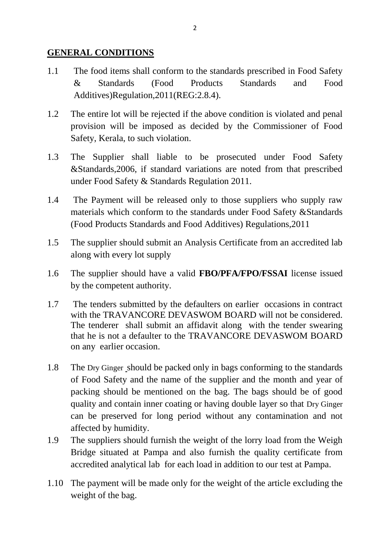### **GENERAL CONDITIONS**

- 1.1 The food items shall conform to the standards prescribed in Food Safety & Standards (Food Products Standards and Food Additives)Regulation,2011(REG:2.8.4).
- 1.2 The entire lot will be rejected if the above condition is violated and penal provision will be imposed as decided by the Commissioner of Food Safety, Kerala, to such violation.
- 1.3 The Supplier shall liable to be prosecuted under Food Safety &Standards,2006, if standard variations are noted from that prescribed under Food Safety & Standards Regulation 2011.
- 1.4 The Payment will be released only to those suppliers who supply raw materials which conform to the standards under Food Safety &Standards (Food Products Standards and Food Additives) Regulations,2011
- 1.5 The supplier should submit an Analysis Certificate from an accredited lab along with every lot supply
- 1.6 The supplier should have a valid **FBO/PFA/FPO/FSSAI** license issued by the competent authority.
- 1.7 The tenders submitted by the defaulters on earlier occasions in contract with the TRAVANCORE DEVASWOM BOARD will not be considered. The tenderer shall submit an affidavit along with the tender swearing that he is not a defaulter to the TRAVANCORE DEVASWOM BOARD on any earlier occasion.
- 1.8 The Dry Ginger should be packed only in bags conforming to the standards of Food Safety and the name of the supplier and the month and year of packing should be mentioned on the bag. The bags should be of good quality and contain inner coating or having double layer so that Dry Ginger can be preserved for long period without any contamination and not affected by humidity.
- 1.9 The suppliers should furnish the weight of the lorry load from the Weigh Bridge situated at Pampa and also furnish the quality certificate from accredited analytical lab for each load in addition to our test at Pampa.
- 1.10 The payment will be made only for the weight of the article excluding the weight of the bag.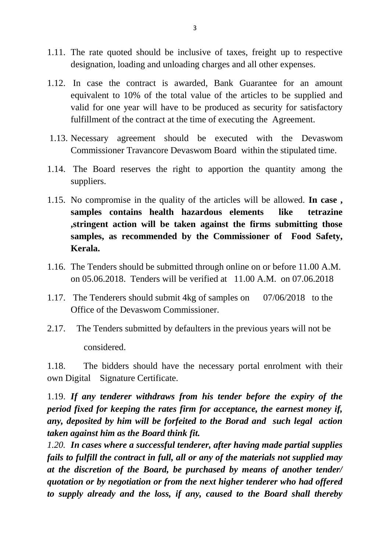- 1.11. The rate quoted should be inclusive of taxes, freight up to respective designation, loading and unloading charges and all other expenses.
- 1.12. In case the contract is awarded, Bank Guarantee for an amount equivalent to 10% of the total value of the articles to be supplied and valid for one year will have to be produced as security for satisfactory fulfillment of the contract at the time of executing the Agreement.
- 1.13. Necessary agreement should be executed with the Devaswom Commissioner Travancore Devaswom Board within the stipulated time.
- 1.14. The Board reserves the right to apportion the quantity among the suppliers.
- 1.15. No compromise in the quality of the articles will be allowed. **In case , samples contains health hazardous elements like tetrazine ,stringent action will be taken against the firms submitting those samples, as recommended by the Commissioner of Food Safety, Kerala.**
- 1.16. The Tenders should be submitted through online on or before 11.00 A.M. on 05.06.2018. Tenders will be verified at 11.00 A.M. on 07.06.2018
- 1.17. The Tenderers should submit 4kg of samples on 07/06/2018 to the Office of the Devaswom Commissioner.
- 2.17. The Tenders submitted by defaulters in the previous years will not be considered.

1.18. The bidders should have the necessary portal enrolment with their own Digital Signature Certificate.

1.19. *If any tenderer withdraws from his tender before the expiry of the period fixed for keeping the rates firm for acceptance, the earnest money if, any, deposited by him will be forfeited to the Borad and such legal action taken against him as the Board think fit.*

*1.20. In cases where a successful tenderer, after having made partial supplies fails to fulfill the contract in full, all or any of the materials not supplied may at the discretion of the Board, be purchased by means of another tender/ quotation or by negotiation or from the next higher tenderer who had offered to supply already and the loss, if any, caused to the Board shall thereby*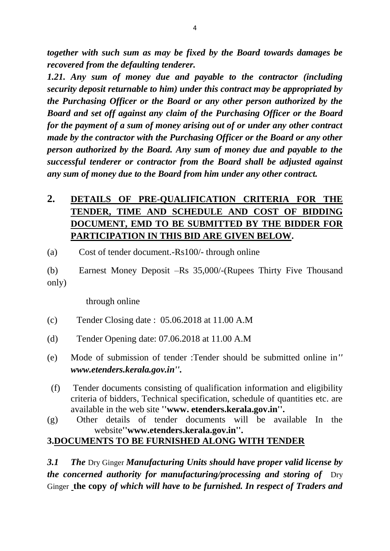*together with such sum as may be fixed by the Board towards damages be recovered from the defaulting tenderer.*

*1.21. Any sum of money due and payable to the contractor (including security deposit returnable to him) under this contract may be appropriated by the Purchasing Officer or the Board or any other person authorized by the Board and set off against any claim of the Purchasing Officer or the Board for the payment of a sum of money arising out of or under any other contract made by the contractor with the Purchasing Officer or the Board or any other person authorized by the Board. Any sum of money due and payable to the successful tenderer or contractor from the Board shall be adjusted against any sum of money due to the Board from him under any other contract.*

# **2. DETAILS OF PRE-QUALIFICATION CRITERIA FOR THE TENDER, TIME AND SCHEDULE AND COST OF BIDDING DOCUMENT, EMD TO BE SUBMITTED BY THE BIDDER FOR PARTICIPATION IN THIS BID ARE GIVEN BELOW.**

(a) Cost of tender document.-Rs100/- through online

(b) Earnest Money Deposit –Rs 35,000/-(Rupees Thirty Five Thousand only)

through online

- (c) Tender Closing date : 05.06.2018 at 11.00 A.M
- (d) Tender Opening date: 07.06.2018 at 11.00 A.M
- (e) Mode of submission of tender :Tender should be submitted online in*'' www.etenders.kerala.gov.in''.*
- (f) Tender documents consisting of qualification information and eligibility criteria of bidders, Technical specification, schedule of quantities etc. are available in the web site **''www. etenders.kerala.gov.in''.**
- (g) Other details of tender documents will be available In the website**''www.etenders.kerala.gov.in''.**

## **3.DOCUMENTS TO BE FURNISHED ALONG WITH TENDER**

*3.1 The* Dry Ginger *Manufacturing Units should have proper valid license by the concerned authority for manufacturing/processing and storing of Dry* Ginger **the copy** *of which will have to be furnished. In respect of Traders and*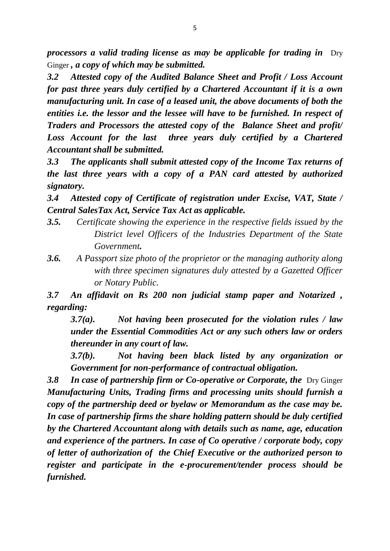*processors a valid trading license as may be applicable for trading in* **Dry** Ginger *, a copy of which may be submitted.*

*3.2 Attested copy of the Audited Balance Sheet and Profit / Loss Account for past three years duly certified by a Chartered Accountant if it is a own manufacturing unit. In case of a leased unit, the above documents of both the entities i.e. the lessor and the lessee will have to be furnished. In respect of Traders and Processors the attested copy of the Balance Sheet and profit/*  Loss Account for the last three years duly certified by a Chartered *Accountant shall be submitted.*

*3.3 The applicants shall submit attested copy of the Income Tax returns of the last three years with a copy of a PAN card attested by authorized signatory.*

*3.4 Attested copy of Certificate of registration under Excise, VAT, State / Central SalesTax Act, Service Tax Act as applicable.*

- *3.5. Certificate showing the experience in the respective fields issued by the District level Officers of the Industries Department of the State Government.*
- *3.6. A Passport size photo of the proprietor or the managing authority along with three specimen signatures duly attested by a Gazetted Officer or Notary Public.*

*3.7 An affidavit on Rs 200 non judicial stamp paper and Notarized , regarding:*

*3.7(a). Not having been prosecuted for the violation rules / law under the Essential Commodities Act or any such others law or orders thereunder in any court of law.*

*3.7(b). Not having been black listed by any organization or Government for non-performance of contractual obligation.*

**3.8 In case of partnership firm or Co-operative or Corporate, the Dry Ginger** *Manufacturing Units, Trading firms and processing units should furnish a copy of the partnership deed or byelaw or Memorandum as the case may be. In case of partnership firms the share holding pattern should be duly certified by the Chartered Accountant along with details such as name, age, education and experience of the partners. In case of Co operative / corporate body, copy of letter of authorization of the Chief Executive or the authorized person to register and participate in the e-procurement/tender process should be furnished.*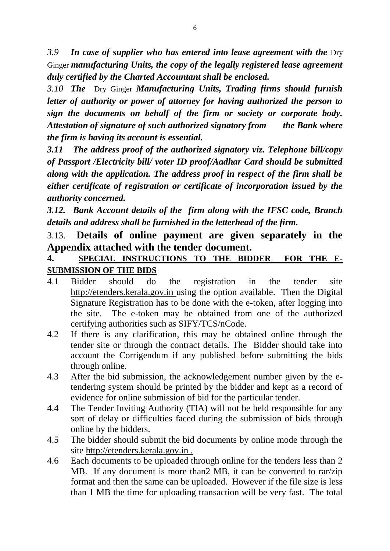*3.9 In case of supplier who has entered into lease agreement with the* Dry Ginger *manufacturing Units, the copy of the legally registered lease agreement duly certified by the Charted Accountant shall be enclosed.*

*3.10 The* Dry Ginger *Manufacturing Units, Trading firms should furnish letter of authority or power of attorney for having authorized the person to sign the documents on behalf of the firm or society or corporate body. Attestation of signature of such authorized signatory from the Bank where the firm is having its account is essential.*

*3.11 The address proof of the authorized signatory viz. Telephone bill/copy of Passport /Electricity bill/ voter ID proof/Aadhar Card should be submitted along with the application. The address proof in respect of the firm shall be either certificate of registration or certificate of incorporation issued by the authority concerned.*

*3.12. Bank Account details of the firm along with the IFSC code, Branch details and address shall be furnished in the letterhead of the firm.*

## 3.13. **Details of online payment are given separately in the Appendix attached with the tender document.**

## **4. SPECIAL INSTRUCTIONS TO THE BIDDER FOR THE E-SUBMISSION OF THE BIDS**

- 4.1 Bidder should do the registration in the tender site http://etenders.kerala.gov.in using the option available. Then the Digital Signature Registration has to be done with the e-token, after logging into the site. The e-token may be obtained from one of the authorized certifying authorities such as SIFY/TCS/nCode.
- 4.2 If there is any clarification, this may be obtained online through the tender site or through the contract details. The Bidder should take into account the Corrigendum if any published before submitting the bids through online.
- 4.3 After the bid submission, the acknowledgement number given by the etendering system should be printed by the bidder and kept as a record of evidence for online submission of bid for the particular tender.
- 4.4 The Tender Inviting Authority (TIA) will not be held responsible for any sort of delay or difficulties faced during the submission of bids through online by the bidders.
- 4.5 The bidder should submit the bid documents by online mode through the site http://etenders.kerala.gov.in .
- 4.6 Each documents to be uploaded through online for the tenders less than 2 MB. If any document is more than2 MB, it can be converted to rar/zip format and then the same can be uploaded. However if the file size is less than 1 MB the time for uploading transaction will be very fast. The total